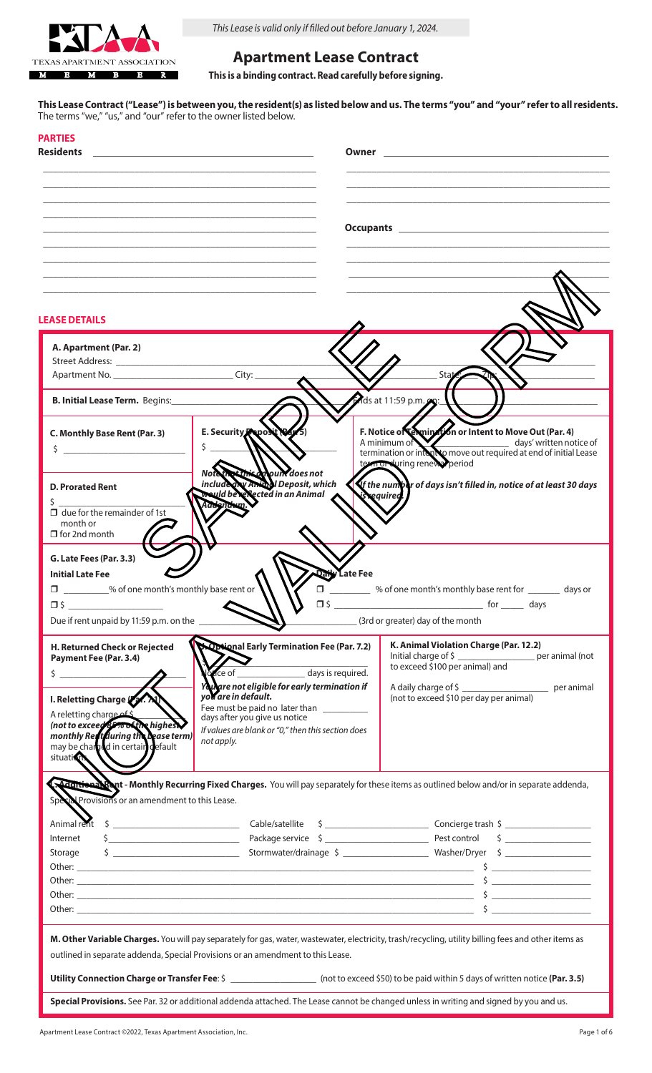

*This Lease is valid only if filled out before January 1, 2024.*

# **Apartment Lease Contract**

**This is a binding contract. Read carefully before signing.**

**This Lease Contract ("Lease") is between you, the resident(s) as listed below and us. The terms "you" and "your" refer to all residents.** The terms "we," "us," and "our" refer to the owner listed below.

| <b>PARTIES</b><br><b>Residents</b>                                                                                                                                                                                                                                                                                                |                                                                                                                                                                                                                                                                                                   |                                                                                                                                                                                                                                                                                                   |  |
|-----------------------------------------------------------------------------------------------------------------------------------------------------------------------------------------------------------------------------------------------------------------------------------------------------------------------------------|---------------------------------------------------------------------------------------------------------------------------------------------------------------------------------------------------------------------------------------------------------------------------------------------------|---------------------------------------------------------------------------------------------------------------------------------------------------------------------------------------------------------------------------------------------------------------------------------------------------|--|
|                                                                                                                                                                                                                                                                                                                                   |                                                                                                                                                                                                                                                                                                   |                                                                                                                                                                                                                                                                                                   |  |
| <b>LEASE DETAILS</b>                                                                                                                                                                                                                                                                                                              |                                                                                                                                                                                                                                                                                                   |                                                                                                                                                                                                                                                                                                   |  |
| A. Apartment (Par. 2)<br>Street Address: No. 1996. The Street Address:                                                                                                                                                                                                                                                            |                                                                                                                                                                                                                                                                                                   |                                                                                                                                                                                                                                                                                                   |  |
| <b>B. Initial Lease Term.</b> Begins:                                                                                                                                                                                                                                                                                             |                                                                                                                                                                                                                                                                                                   | Mds at 11:59 p.m. 9:                                                                                                                                                                                                                                                                              |  |
| C. Monthly Base Rent (Par. 3)<br>$\mathsf{S}$ and $\mathsf{S}$ and $\mathsf{S}$ are $\mathsf{S}$ and $\mathsf{S}$ and $\mathsf{S}$ are $\mathsf{S}$ and $\mathsf{S}$ are $\mathsf{S}$ and $\mathsf{S}$ are $\mathsf{S}$ and $\mathsf{S}$ are $\mathsf{S}$ and $\mathsf{S}$ are $\mathsf{S}$ and $\mathsf{S}$ are $\mathsf{S}$ and | E. Security Osposit (Va. 5)<br>\$                                                                                                                                                                                                                                                                 | F. Notice of <b>Chains on</b> or Intent to Move Out (Par. 4)<br>A minimum of termination or integral move out required at end of initial Lease<br>term or during renews period                                                                                                                    |  |
| <b>D. Prorated Rent</b><br>$\Box$ due for the remainder of 1st<br>month or<br>$\Box$ for 2nd month                                                                                                                                                                                                                                | Note that this appuly does not<br>included by Aming Deposit, which<br>would be reflected in an Animal                                                                                                                                                                                             | $\mathcal{\mathcal{S}}$ the number of days isn't filled in, notice of at least 30 days<br>is required                                                                                                                                                                                             |  |
| G. Late Fees (Par. 3.3)<br><b>Initial Late Fee</b><br>□ _________% of one month's monthly base rent or<br>$\neg$ s<br>Due if rent unpaid by 11:59 p.m. on the                                                                                                                                                                     | Daily Late Fee<br>$\Box$<br>$\Box$ \$                                                                                                                                                                                                                                                             | 60 % of one month's monthly base rent for <b>with any days or</b><br>for davs<br>(3rd or greater) day of the month                                                                                                                                                                                |  |
| H. Returned Check or Rejected<br>Payment Fee (Par. 3.4)<br>$\frac{1}{2}$<br>I. Reletting Charge Pr. XX<br>A reletting charge of<br>monthly Reh during the Dease term)<br>may be chain din certain default<br>situation                                                                                                            | <b>X Optional Early Termination Fee (Par. 7.2)</b><br>days is required.<br>You are not eligible for early termination if<br>you are in default.<br>Fee must be paid no later than __________<br>days after you give us notice<br>If values are blank or "0," then this section does<br>not apply. | K. Animal Violation Charge (Par. 12.2)<br>Initial charge of \$ ____________________ per animal (not<br>to exceed \$100 per animal) and<br>(not to exceed \$10 per day per animal)                                                                                                                 |  |
| Special Provisions or an amendment to this Lease.<br>Internet<br>Storage                                                                                                                                                                                                                                                          |                                                                                                                                                                                                                                                                                                   | . Additional Rent - Monthly Recurring Fixed Charges. You will pay separately for these items as outlined below and/or in separate addenda,                                                                                                                                                        |  |
|                                                                                                                                                                                                                                                                                                                                   |                                                                                                                                                                                                                                                                                                   | $\sim$ $\sim$<br>Other: $\frac{1}{2}$ Other: $\frac{1}{2}$ Other: $\frac{1}{2}$ Other: $\frac{1}{2}$ Other: $\frac{1}{2}$ Other: $\frac{1}{2}$ Other: $\frac{1}{2}$ Other: $\frac{1}{2}$ Other: $\frac{1}{2}$ Other: $\frac{1}{2}$ Other: $\frac{1}{2}$ Other: $\frac{1}{2}$ Other: $\frac{1}{2}$ |  |
| M. Other Variable Charges. You will pay separately for gas, water, wastewater, electricity, trash/recycling, utility billing fees and other items as<br>outlined in separate addenda, Special Provisions or an amendment to this Lease.                                                                                           |                                                                                                                                                                                                                                                                                                   |                                                                                                                                                                                                                                                                                                   |  |
| Utility Connection Charge or Transfer Fee: \$ __________________ (not to exceed \$50) to be paid within 5 days of written notice (Par. 3.5)<br>Special Provisions. See Par. 32 or additional addenda attached. The Lease cannot be changed unless in writing and signed by you and us.                                            |                                                                                                                                                                                                                                                                                                   |                                                                                                                                                                                                                                                                                                   |  |
|                                                                                                                                                                                                                                                                                                                                   |                                                                                                                                                                                                                                                                                                   |                                                                                                                                                                                                                                                                                                   |  |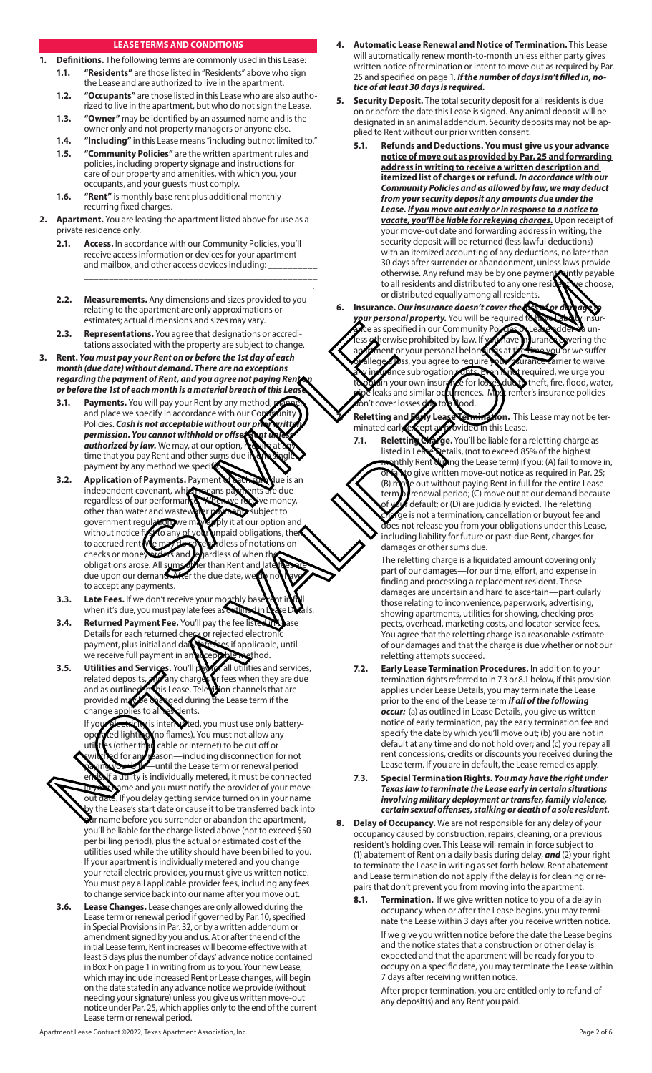#### **LEASE TERMS AND CONDITIONS**

- **1. Definitions.** The following terms are commonly used in this Lease: **1.1. "Residents"** are those listed in "Residents" above who sign
	- the Lease and are authorized to live in the apartment. **1.2. "Occupants"** are those listed in this Lease who are also autho-
	- rized to live in the apartment, but who do not sign the Lease. **1.3. "Owner"** may be identified by an assumed name and is the
	- owner only and not property managers or anyone else.
	- **1.4. "Including"** in this Lease means "including but not limited to." **1.5. "Community Policies"** are the written apartment rules and
	- policies, including property signage and instructions for care of our property and amenities, with which you, your occupants, and your guests must comply.
	- **1.6. "Rent"** is monthly base rent plus additional monthly recurring fixed charges.
- **2. Apartment.** You are leasing the apartment listed above for use as a private residence only.
	- **2.1. Access.** In accordance with our Community Policies, you'll receive access information or devices for your apartment and mailbox, and other access devices including: \_\_\_\_\_\_\_\_\_\_\_\_\_\_\_\_\_\_\_\_\_\_\_\_\_\_\_\_\_\_\_\_\_\_\_\_\_\_\_\_\_\_\_\_\_\_\_
	- **2.2. Measurements.** Any dimensions and sizes provided to you relating to the apartment are only approximations or estimates; actual dimensions and sizes may vary.

\_\_\_\_\_\_\_\_\_\_\_\_\_\_\_\_\_\_\_\_\_\_\_\_\_\_\_\_\_\_\_\_\_\_\_\_\_\_\_\_\_\_\_\_\_\_.

- **2.3. Representations.** You agree that designations or accreditations associated with the property are subject to change.
- **3. Rent.** *You must pay your Rent on or before the 1st day of each month (due date) without demand. There are no exceptions*  regarding the payment of Rent, and you agree not paying Ren *or before the 1st of each month is a material breach of this Lease.* 
	- **3.1.** Payments. You will pay your Rent by any method and place we specify in accordance with our Community Policies. *Cash is not acceptable without our prior writt permission. You cannot withhold or offset Rent unless*  **authorized by law.** We may, at our option, time that you pay Rent and other sums due payment by any method we speci
- **3.2. Application of Payments.** Payment of **ach sum due** is an independent covenant, which pears because and the independent covenant, which means p regardless of our performance. When we receive money, other than water and wastewater *payment* subject to government regulation, we may apply it at our option government regulation, we may apply it at our option and without notice  $\eta$  to any of you unpaid obligations, then Its to any of your unpaid obligations, then to accrued rent. We may do so regardless of notations on checks or money we know and regardless of when the and egardless of when the obligations arose. All sums other than Rent and late fees are due upon our demand. After the due date, we do not have to accept any payments. Example the designation of a size in the property are subject to change.<br>
International size in the property are subject to change.<br>
You are that designation or accredi-<br>
the month is a material bread of fissues and the pr 2.2. Maximum the  $n_1$  direction and the result of the same  $n_1$  direction and the same  $n_2$  direction and the same  $n_2$  direction and the same  $n_3$  direction and the same  $n_4$  direction and the same  $n_5$  direction
	- **3.3.** Late Fees. If we don't receive your monthly base rent in full when it's due, you must pay late fees as outlined in Lease Details.
	- **3.4.** Returned Payment Fee. You'll pay the fee listed Details for each returned check or rejected electronic payment, plus initial and daily steries if applicable, until we receive full payment in an acceptable method.
	- **3.5.** Utilities and Services. You'll pay for all utilities and services, related deposits and charges or fees when they are due **d** any charges or fees when they are due<br>nis Lease. Tele us on channels that are and as outlined in this Lease. Television channels that are provided move to an area follows. ged during the Lease term if the change applies to all residents.

If your electricity is interrupted, you must use only batteryoperated lighting (no flames). You must not allow any utilities (other than cable or Internet) to be cut off or d for any reason—including disconnection for not -until the Lease term or renewal period utility is individually metered, it must be connected ame and you must notify the provider of your moveout date. If you delay getting service turned on in your name by the Lease's start date or cause it to be transferred back into  $\mathbf{\hat{a}}$ r name before you surrender or abandon the apartment, you'll be liable for the charge listed above (not to exceed \$50 per billing period), plus the actual or estimated cost of the utilities used while the utility should have been billed to you. If your apartment is individually metered and you change your retail electric provider, you must give us written notice. You must pay all applicable provider fees, including any fees to change service back into our name after you move out.

**3.6. Lease Changes.** Lease changes are only allowed during the Lease term or renewal period if governed by Par. 10, specified in Special Provisions in Par. 32, or by a written addendum or amendment signed by you and us. At or after the end of the initial Lease term, Rent increases will become effective with at least 5 days plus the number of days' advance notice contained in Box F on page 1 in writing from us to you. Your new Lease, which may include increased Rent or Lease changes, will begin on the date stated in any advance notice we provide (without needing your signature) unless you give us written move-out notice under Par. 25, which applies only to the end of the current Lease term or renewal period.

- **4. Automatic Lease Renewal and Notice of Termination.** This Lease will automatically renew month-to-month unless either party gives written notice of termination or intent to move out as required by Par. 25 and specified on page 1. *If the number of days isn't filled in, notice of at least 30 days is required.*
- **5. Security Deposit.** The total security deposit for all residents is due on or before the date this Lease is signed. Any animal deposit will be designated in an animal addendum. Security deposits may not be applied to Rent without our prior written consent.
	- **5.1. Refunds and Deductions. You must give us your advance notice of move out as provided by Par. 25 and forwarding address in writing to receive a written description and itemized list of charges or refund.** *In accordance with our Community Policies and as allowed by law, we may deduct from your security deposit any amounts due under the Lease. If you move out early or in response to a notice to vacate, you'll be liable for rekeying charges.* Upon receipt of your move-out date and forwarding address in writing, the security deposit will be returned (less lawful deductions) with an itemized accounting of any deductions, no later than 30 days after surrender or abandonment, unless laws provide otherwise. Any refund may be by one payment jointly payable<br>to all residents and distributed to any one resident be choose, to all residents and distributed to any one residents or distributed equally among all resider
- **6. Insurance.** *Our insurance doesn't cover the loss of or damage to*  **your personal property.** You will be required to have liability insurice as specified in our Community Policies or Lease addenda un-<br>ssetherwise prohibited by law. If you have insurance syvering the therwise prohibited by law. If you have insurance covering the<br>ment or your personal belongings at the time you or we suffer ment or your personal belongings at the time you or we suffer<br>equal poss, you agree to require your issurance Carrier to waive llege a loss, you agree to require **vance subrogation rights. Even hindi** required, we urge you<br>in your own insurarice for losses due to theft, fire, flood, wate to in your own insurance for losses due to theft, fire, flood, water, leaks and similar occurrences. Most renter's insurance policies rrences. Most renter's insurance policies on't cover losses due toa lood.
	- Reletting and Early Lease Termination. This Lease may not be terminated early except as provided in this Lease.
	- **7.1. Reletting Charge.** You'll be liable for a reletting charge as listed in Lease **Netalls**, (not to exceed 85% of the highest letails, (not to exceed 85% of the highest nthly Rent during the Lease term) if you: (A) fail to move in, or fail to give written move-out notice as required in Par. 25<br>(B) move out without paving Rent in full for the entire Lease e out without paying Rent in full for the entire Lease  $term$  renewal period; (C) move out at our demand because default; or (D) are judicially evicted. The reletting ge is not a termination, cancellation or buyout fee and does not release you from your obligations under this Lease, including liability for future or past-due Rent, charges for damages or other sums due.

 The reletting charge is a liquidated amount covering only part of our damages—for our time, effort, and expense in finding and processing a replacement resident. These damages are uncertain and hard to ascertain—particularly those relating to inconvenience, paperwork, advertising, showing apartments, utilities for showing, checking prospects, overhead, marketing costs, and locator-service fees. You agree that the reletting charge is a reasonable estimate of our damages and that the charge is due whether or not our reletting attempts succeed.

- **7.2. Early Lease Termination Procedures.** In addition to your termination rights referred to in 7.3 or 8.1 below, if this provision applies under Lease Details, you may terminate the Lease prior to the end of the Lease term *if all of the following occur:* (a) as outlined in Lease Details, you give us written notice of early termination, pay the early termination fee and specify the date by which you'll move out; (b) you are not in default at any time and do not hold over; and (c) you repay all rent concessions, credits or discounts you received during the Lease term. If you are in default, the Lease remedies apply.
- **7.3. Special Termination Rights.** *You may have the right under Texas law to terminate the Lease early in certain situations involving military deployment or transfer, family violence, certain sexual offenses, stalking or death of a sole resident.*
- **8. Delay of Occupancy.** We are not responsible for any delay of your occupancy caused by construction, repairs, cleaning, or a previous resident's holding over. This Lease will remain in force subject to (1) abatement of Rent on a daily basis during delay, *and* (2) your right to terminate the Lease in writing as set forth below. Rent abatement and Lease termination do not apply if the delay is for cleaning or repairs that don't prevent you from moving into the apartment.
	- **8.1. Termination.** If we give written notice to you of a delay in occupancy when or after the Lease begins, you may terminate the Lease within 3 days after you receive written notice. If we give you written notice before the date the Lease begins and the notice states that a construction or other delay is expected and that the apartment will be ready for you to occupy on a specific date, you may terminate the Lease within 7 days after receiving written notice.

 After proper termination, you are entitled only to refund of any deposit(s) and any Rent you paid.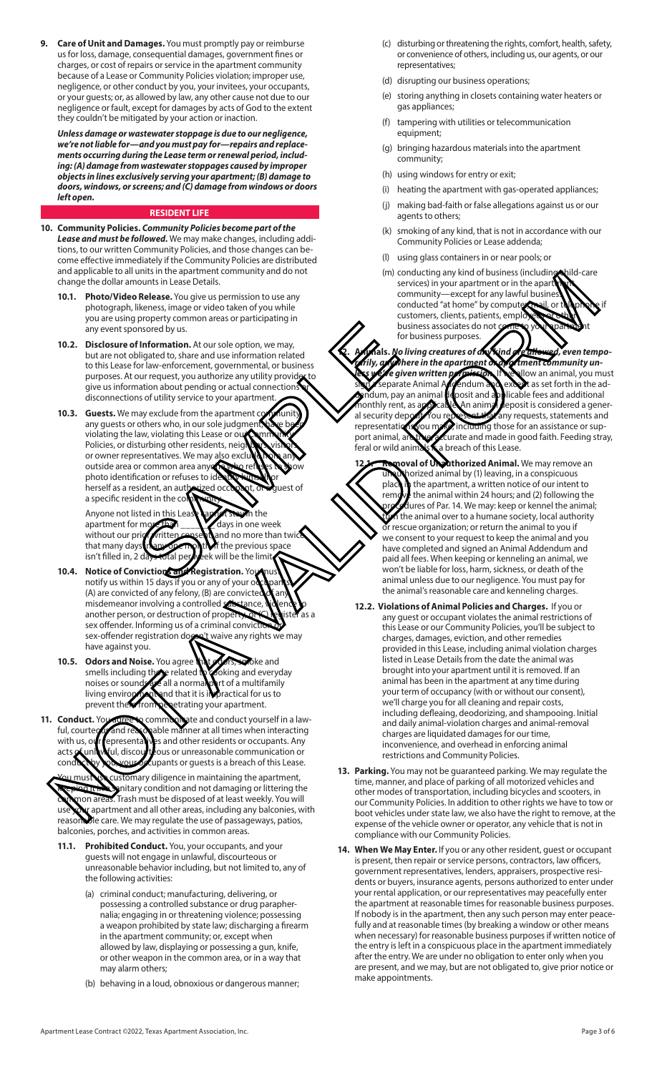**9. Care of Unit and Damages.** You must promptly pay or reimburse us for loss, damage, consequential damages, government fines or charges, or cost of repairs or service in the apartment community because of a Lease or Community Policies violation; improper use, negligence, or other conduct by you, your invitees, your occupants, or your guests; or, as allowed by law, any other cause not due to our negligence or fault, except for damages by acts of God to the extent they couldn't be mitigated by your action or inaction.

*Unless damage or wastewater stoppage is due to our negligence, we're not liable for—and you must pay for—repairs and replacements occurring during the Lease term or renewal period, including: (A) damage from wastewater stoppages caused by improper objects in lines exclusively serving your apartment; (B) damage to doors, windows, or screens; and (C) damage from windows or doors left open.* 

### **RESIDENT LIFE**

- **10. Community Policies.** *Community Policies become part of the Lease and must be followed.* We may make changes, including additions, to our written Community Policies, and those changes can become effective immediately if the Community Policies are distributed and applicable to all units in the apartment community and do not change the dollar amounts in Lease Details.
	- **10.1. Photo/Video Release.** You give us permission to use any photograph, likeness, image or video taken of you while you are using property common areas or participating in any event sponsored by us.
	- **10.2. Disclosure of Information.** At our sole option, we may, but are not obligated to, share and use information related to this Lease for law-enforcement, governmental, or business purposes. At our request, you authorize any utility provide give us information about pending or actual connections disconnections of utility service to your apartment
	- **10.3. Guests.** We may exclude from the apartment communi any guests or others who, in our sole judgment violating the law, violating this Lease or our Policies, or disturbing other residents, neig or owner representatives. We may also exclude outside area or common area any photo identification or refuses to ide herself as a resident, an authorized occupant, or a quest of a specific resident in the co Fundamental and the previous space of the control of the previous contracts are and to the property of the previous control of the property of the property of the space of the control of the property of the space of the sp

Anyone not listed in this Lease campot stay in the apartment for more than \_\_\_\_\_\_\_ days in one week without our prior written consert, and no more than twick f the previous space isn't filled in, 2 days total per week will be the limit

- **10.4.** Notice of Convictions and Registration. Yo notify us within 15 days if you or any of your c  $(A)$  are convicted of any felony,  $(B)$  are convicte misdemeanor involving a controlled another person, or destruction of property sex offender. Informing us of a criminal conviction of the sex-offender registration doesn't waive any rights we may sex-offender registration does have against you.
- **10.5. Odors and Noise.** You agree that *didness and smells including the related* to *coking and every* soking and everyday noises or sounds are all a normal part of a multifamily living environment and that it is impractical for us to living envirom penetrating is in prevent them from penetrating your apartment.
- **11. Conduct.** You agree to communicate and conduct yourself in a lawful, courtests and reasonable manner at all times when interacting<br>with us, our representally is and other residents or occupants. Any presentatives and other residents or occupants. Any<br>ul, discourt cous or unreasonable communication or acts Kunlawful, discourteous or unreasonable communication or conduct by you, your occupants or guests is a breach of this Lease.

istomary diligence in maintaining the apartment, anitary condition and not damaging or littering the on areas. Trash must be disposed of at least weekly. You will apartment and all other areas, including any balconies, with reasonable care. We may regulate the use of passageways, patios, balconies, porches, and activities in common areas.

- **11.1. Prohibited Conduct.** You, your occupants, and your guests will not engage in unlawful, discourteous or unreasonable behavior including, but not limited to, any of the following activities:
	- (a) criminal conduct; manufacturing, delivering, or possessing a controlled substance or drug parapher nalia; engaging in or threatening violence; possessing a weapon prohibited by state law; discharging a firearm in the apartment community; or, except when allowed by law, displaying or possessing a gun, knife, or other weapon in the common area, or in a way that may alarm others;
	- (b) behaving in a loud, obnoxious or dangerous manner;
- (c) disturbing or threatening the rights, comfort, health, safety, or convenience of others, including us, our agents, or our representatives;
- (d) disrupting our business operations;
- (e) storing anything in closets containing water heaters or gas appliances;
- (f) tampering with utilities or telecommunication equipment;
- (g) bringing hazardous materials into the apartment community;
- (h) using windows for entry or exit;
- (i) heating the apartment with gas-operated appliances;
- (j) making bad-faith or false allegations against us or our agents to others;
- (k) smoking of any kind, that is not in accordance with our Community Policies or Lease addenda;
- (l) using glass containers in or near pools; or
- (m) conducting any kind of business (including child-care services) in your apartment or in the apar community—except for any lawful busine conducted "at home" by compute customers, clients, patients, emple business associates do not for business purposes.

No living creatures of a**ny k**ind are allowed, even tempo-<br>Where in the apa<u>rtmen</u>t on apartment community un*rily, anywhere in the apartment of*<br>interface given written **permission like given written permission. If we a**llow an animal, you must<br>separate Animal Advendum and excent as set forth in the ad-**Separate Addendum and Adden Animal Addendum and Adden Adden Adden Adden Adden Adden in the ad-**<br>Animal Adden and adden and adden adden dendum, pay an animal deposit and applicable fees and additional monthly rent, as **applicable. An animal deposit is considered a gener-**<br>al security deposit. You represent the any requests, statements and al security deposit. You represent that any requests, statements and<br>representations you make, including those for an assistance or suprou make, including those for an assistance or support animal, are the accurate and made in good faith. Feeding stray,<br>feral or wild animals a breach of this Lease. a breach of this Lease.

- of Unauthorized Animal. We may remove an unauthorized animal by (1) leaving, in a conspicuous place in the apartment, a written notice of our intent to remove the animal within 24 hours; and (2) following the dures of Par. 14. We may: keep or kennel the animal; the animal over to a humane society, local authority  $\mathbf r$  rescue organization; or return the animal to you if we consent to your request to keep the animal and you have completed and signed an Animal Addendum and paid all fees. When keeping or kenneling an animal, we won't be liable for loss, harm, sickness, or death of the animal unless due to our negligence. You must pay for the animal's reasonable care and kenneling charges.
- **12.2. Violations of Animal Policies and Charges.** If you or any guest or occupant violates the animal restrictions of this Lease or our Community Policies, you'll be subject to charges, damages, eviction, and other remedies provided in this Lease, including animal violation charges listed in Lease Details from the date the animal was brought into your apartment until it is removed. If an animal has been in the apartment at any time during your term of occupancy (with or without our consent), we'll charge you for all cleaning and repair costs, including defleaing, deodorizing, and shampooing. Initial and daily animal-violation charges and animal-removal charges are liquidated damages for our time, inconvenience, and overhead in enforcing animal restrictions and Community Policies. Analytical the material contribution of the stationary into the stationary and the material contribution of the material contribution of the material contribution of the material contribution of the material contribution
	- **13. Parking.** You may not be guaranteed parking. We may regulate the time, manner, and place of parking of all motorized vehicles and other modes of transportation, including bicycles and scooters, in our Community Policies. In addition to other rights we have to tow or boot vehicles under state law, we also have the right to remove, at the expense of the vehicle owner or operator, any vehicle that is not in compliance with our Community Policies.
	- **14. When We May Enter.** If you or any other resident, guest or occupant is present, then repair or service persons, contractors, law officers, government representatives, lenders, appraisers, prospective residents or buyers, insurance agents, persons authorized to enter under your rental application, or our representatives may peacefully enter the apartment at reasonable times for reasonable business purposes. If nobody is in the apartment, then any such person may enter peacefully and at reasonable times (by breaking a window or other means when necessary) for reasonable business purposes if written notice of the entry is left in a conspicuous place in the apartment immediately after the entry. We are under no obligation to enter only when you are present, and we may, but are not obligated to, give prior notice or make appointments.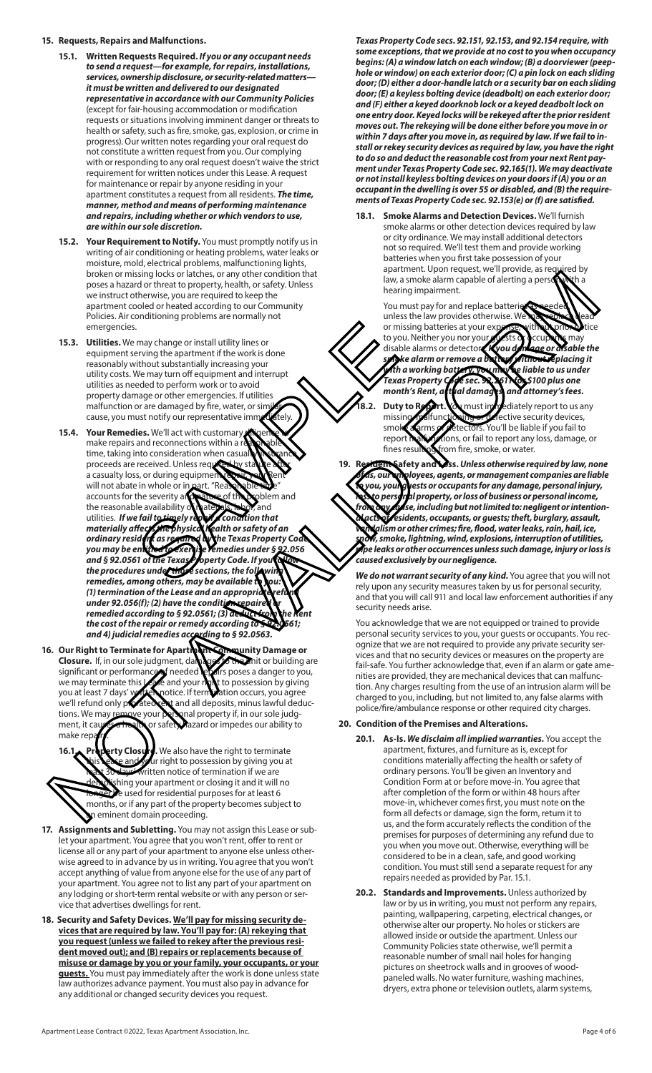### **15. Requests, Repairs and Malfunctions.**

- **15.1. Written Requests Required.** *If you or any occupant needs to send a request—for example, for repairs, installations, services, ownership disclosure, or security-related matters it must be written and delivered to our designated representative in accordance with our Community Policies* (except for fair-housing accommodation or modification requests or situations involving imminent danger or threats to health or safety, such as fire, smoke, gas, explosion, or crime in progress). Our written notes regarding your oral request do not constitute a written request from you. Our complying with or responding to any oral request doesn't waive the strict requirement for written notices under this Lease. A request for maintenance or repair by anyone residing in your apartment constitutes a request from all residents. *The time, manner, method and means of performing maintenance and repairs, including whether or which vendors to use, are within our sole discretion.*
- **15.2. Your Requirement to Notify.** You must promptly notify us in writing of air conditioning or heating problems, water leaks or moisture, mold, electrical problems, malfunctioning lights, broken or missing locks or latches, or any other condition that poses a hazard or threat to property, health, or safety. Unless we instruct otherwise, you are required to keep the apartment cooled or heated according to our Community Policies. Air conditioning problems are normally not emergencies.
- **15.3. Utilities.** We may change or install utility lines or equipment serving the apartment if the work is done reasonably without substantially increasing your utility costs. We may turn off equipment and interrupt utilities as needed to perform work or to avoid property damage or other emergencies. If utilities malfunction or are damaged by fire, water, or sin cause, you must notify our representative immediately
- **15.4. Your Remedies.** We'll act with customary make repairs and reconnections within a  $\tilde{r}$ time, taking into consideration when casua proceeds are received. Unless req a casualty loss, or during equipme will not abate in whole or in part. "Re accounts for the severity and nature of the problem and the reasonable availability of **hate rats, tabor**, and<br>utilities. If we fail to timely reason to condition that utilities. *If we fail to timely repair* a condition of the *materially affective a materially affects the physical health or safety of an ordinary resident as required by the Texas Property Code, you may be entitled to exercise remedies under § 92.056 and § 92.0561 of the Texas Property Code. If you follow the procedures under those sections, the following*  remedies, among others, may be available (1) termination of the Lease and an appropriation of the Lease and an appropriation<br>under 92.056(f); (2) have the condition repaire *under 92.056(f); (2) have the condition remedied according to § 92.0561; (3) deduct from the Rent the cost of the repair or remedy according to § 92.0561; and 4) judicial remedies according to § 92.0563.* Sometimes the control of the control of the control of the and the control of the control of the control of the control of the control of the control of the control of the control of the control of the control of the contr beative or mainly contained to any other contained to any other seconds are also beat a second or main to any other seconds are also beat a second or main to any other seconds are also beat a second or main to any other s
- **16. Our Right to Terminate for Apartment Community Damage or Closure.** If, in our sole judgment, damages to the mit or building are significant or performance in needed legiting poses a danger to you, significant or performance of needed repairs poses a danger to you, we may terminate this Lease and your right to possession by giving you at least 7 days' with notice. If termination occurs, you agree<br>we'll refund only profated ent and all deposits, minus lawful dedu and all deposits, minus lawful deductions. We may remove your personal property if, in our sole judgment, it causes a health or safety hazard or impedes our ability to make rep

**ty Closure.** We also have the right to terminate and your right to possession by giving you at written notice of termination if we are hing your apartment or closing it and it will no e used for residential purposes for at least 6 months, or if any part of the property becomes subject to eminent domain proceeding.

- **17. Assignments and Subletting.** You may not assign this Lease or sublet your apartment. You agree that you won't rent, offer to rent or license all or any part of your apartment to anyone else unless otherwise agreed to in advance by us in writing. You agree that you won't accept anything of value from anyone else for the use of any part of your apartment. You agree not to list any part of your apartment on any lodging or short-term rental website or with any person or service that advertises dwellings for rent.
- **18. Security and Safety Devices. We'll pay for missing security devices that are required by law. You'll pay for: (A) rekeying that you request (unless we failed to rekey after the previous resident moved out); and (B) repairs or replacements because of misuse or damage by you or your family, your occupants, or your guests.** You must pay immediately after the work is done unless state law authorizes advance payment. You must also pay in advance for any additional or changed security devices you request.

*Texas Property Code secs. 92.151, 92.153, and 92.154 require, with some exceptions, that we provide at no cost to you when occupancy begins: (A) a window latch on each window; (B) a doorviewer (peephole or window) on each exterior door; (C) a pin lock on each sliding door; (D) either a door-handle latch or a security bar on each sliding door; (E) a keyless bolting device (deadbolt) on each exterior door; and (F) either a keyed doorknob lock or a keyed deadbolt lock on one entry door. Keyed locks will be rekeyed after the prior resident moves out. The rekeying will be done either before you move in or within 7 days after you move in, as required by law. If we fail to install or rekey security devices as required by law, you have the right to do so and deduct the reasonable cost from your next Rent payment under Texas Property Code sec. 92.165(1). We may deactivate or not install keyless bolting devices on your doors if (A) you or an occupant in the dwelling is over 55 or disabled, and (B) the requirements of Texas Property Code sec. 92.153(e) or (f) are satisfied.* 

**18.1. Smoke Alarms and Detection Devices.** We'll furnish smoke alarms or other detection devices required by law or city ordinance. We may install additional detectors not so required. We'll test them and provide working batteries when you first take possession of your apartment. Upon request, we'll provide, as required by law, a smoke alarm capable of alerting a pers hearing impairment.

You must pay for and replace batteri unless the law provides otherwise. We or missing batteries at your expense, with to you. Neither you nor your grests proccup disable alarms or detectors. *If you damage or disable the smoke alarm or remove a battery without replacing it*  with a working ba**yery, you may be** liable to us under<br>Texas Property **Col**e sec. **92.2**61 **NONS** 100 plus one *Texas Property Code sec. 92.2611 for \$100 plus one month's Rent, actual damages, and attorney's fees.*

**18.2. Duty to Beport. You** must immediately report to us any missing, malfunctioning or defective security devices, smoke a arms or detectors. You'll be liable if you fail to report in all to report any loss, damage, tions, or fail to report any loss, damage, or fines resulting from fire, smoke, or water.

**19. Resident Safety and Loss.** *Unless otherwise required by law, none of us, our employees, agents, or management companies are liable to you, your guests or occupants for any damage, personal injury, loss to personal property, or loss of business or personal income, from any cause, including but not limited to: negligent or intentional acts of residents, occupants, or guests; theft, burglary, assault, vandalism or other crimes; fire, flood, water leaks, rain, hail, ice, snow, smoke, lightning, wind, explosions, interruption of utilities, pipe leaks or other occurrences unless such damage, injury or loss is caused exclusively by our negligence.* 

*We do not warrant security of any kind.* You agree that you will not rely upon any security measures taken by us for personal security, and that you will call 911 and local law enforcement authorities if any security needs arise.

You acknowledge that we are not equipped or trained to provide personal security services to you, your guests or occupants. You recognize that we are not required to provide any private security services and that no security devices or measures on the property are fail-safe. You further acknowledge that, even if an alarm or gate amenities are provided, they are mechanical devices that can malfunction. Any charges resulting from the use of an intrusion alarm will be charged to you, including, but not limited to, any false alarms with police/fire/ambulance response or other required city charges.

### **20. Condition of the Premises and Alterations.**

- **20.1. As-Is.** *We disclaim all implied warranties.* You accept the apartment, fixtures, and furniture as is, except for conditions materially affecting the health or safety of ordinary persons. You'll be given an Inventory and Condition Form at or before move-in. You agree that after completion of the form or within 48 hours after move-in, whichever comes first, you must note on the form all defects or damage, sign the form, return it to us, and the form accurately reflects the condition of the premises for purposes of determining any refund due to you when you move out. Otherwise, everything will be considered to be in a clean, safe, and good working condition. You must still send a separate request for any repairs needed as provided by Par. 15.1.
- **20.2. Standards and Improvements.** Unless authorized by law or by us in writing, you must not perform any repairs, painting, wallpapering, carpeting, electrical changes, or otherwise alter our property. No holes or stickers are allowed inside or outside the apartment. Unless our Community Policies state otherwise, we'll permit a reasonable number of small nail holes for hanging pictures on sheetrock walls and in grooves of woodpaneled walls. No water furniture, washing machines, dryers, extra phone or television outlets, alarm systems,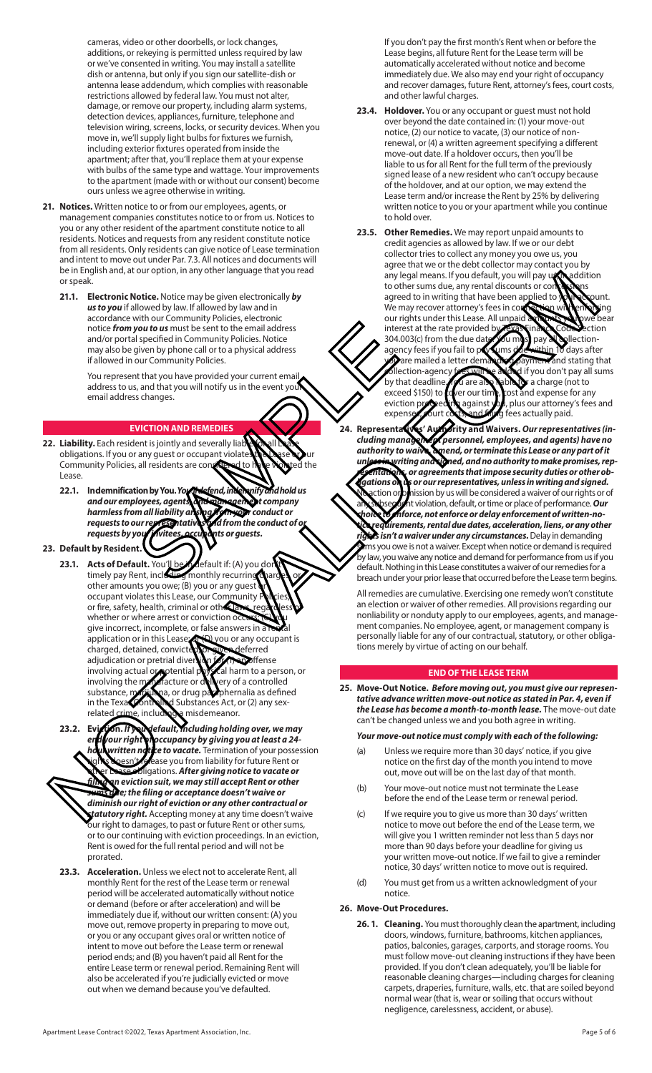cameras, video or other doorbells, or lock changes, additions, or rekeying is permitted unless required by law or we've consented in writing. You may install a satellite dish or antenna, but only if you sign our satellite-dish or antenna lease addendum, which complies with reasonable restrictions allowed by federal law. You must not alter, damage, or remove our property, including alarm systems, detection devices, appliances, furniture, telephone and television wiring, screens, locks, or security devices. When you move in, we'll supply light bulbs for fixtures we furnish, including exterior fixtures operated from inside the apartment; after that, you'll replace them at your expense with bulbs of the same type and wattage. Your improvements to the apartment (made with or without our consent) become ours unless we agree otherwise in writing.

- **21. Notices.** Written notice to or from our employees, agents, or management companies constitutes notice to or from us. Notices to you or any other resident of the apartment constitute notice to all residents. Notices and requests from any resident constitute notice from all residents. Only residents can give notice of Lease termination and intent to move out under Par. 7.3. All notices and documents will be in English and, at our option, in any other language that you read or speak.
	- **21.1. Electronic Notice.** Notice may be given electronically *by us to you* if allowed by law. If allowed by law and in accordance with our Community Policies, electronic notice *from you to us* must be sent to the email address and/or portal specified in Community Policies. Notice may also be given by phone call or to a physical address if allowed in our Community Policies.

You represent that you have provided your current email address to us, and that you will notify us in the event your email address changes.

### **EVICTION AND REMEDIES**

- **22. Liability.** Each resident is jointly and severally liable **12.**<br>obligations. If you or any quest or occupant violate obligations. If you or any guest or occupant violates the Lase of Jur<br>Community Policies, all residents are considered to these worsted the Community Policies, all residents are co Lease.
- **22.1. Indemnification by You.** *You'll defend, indemnify and hold us and our employees, agents, and management company harmless from all liability arising from your conduct or requests to our representatives* requests to our representative requests by your *invitees*, accupants or quests. you to us must be sent to the email address<br>sints specified in Community Policies. Notice<br>since community Policies. Notice<br>that you have provided your current email<br>s, and that you have provided your current emails<br>s. s. t

### **23. Default by Resident.**

- **23.1. Acts of Default.** You'll be in default if: (A) you don't timely pay Rent, including monthly recurring charges, or other amounts you owe; (B) you or any guest occupant violates this Lease, our Community Policies, or fire, safety, health, criminal or other laws, regardless of whether or where arrest or conviction occur give incorrect, incomplete, or false answers in a application or in this Lease of (D) you or any occupant is charged, detained, convicted, or given deferred<br>adjudication or pretrial diversion of the appoffense adjudication or pretrial diversion **of the profilense**<br>involving actual **of p**otential physical harm to a person, or involving actual or potential p involving the manufacture or delivery of a controlled substance, marijuana, or drug paraphernalia as defined substance, **providence**, or drug participation as define<br>in the Texas Controlled Substances Act, or (2) any sex-Second and the original matrix and the second and the second and the second and the second and the second and the second and the second and the second and the second and the second and the second and the second and the se
- related crime, including a misdemeanor.<br>Evicyion. If you default, including hold **23.2. Evicyon. If you default, including holding over, we may evidence the dyour right and company by giving you at least a 24***end your right of occupancy by giving you at least a 24 vritten notice to vacate.* Termination of your possession pesn't release you from liability for future Rent or **bligations. After giving notice to vacate or** *filing an eviction suit, we may still accept Rent or other sums due; the filing or acceptance doesn't waive or diminish our right of eviction or any other contractual or statutory right.* Accepting money at any time doesn't waive our right to damages, to past or future Rent or other sums, or to our continuing with eviction proceedings. In an eviction, Rent is owed for the full rental period and will not be prorated.
- **23.3. Acceleration.** Unless we elect not to accelerate Rent, all monthly Rent for the rest of the Lease term or renewal period will be accelerated automatically without notice or demand (before or after acceleration) and will be immediately due if, without our written consent: (A) you move out, remove property in preparing to move out, or you or any occupant gives oral or written notice of intent to move out before the Lease term or renewal period ends; and (B) you haven't paid all Rent for the entire Lease term or renewal period. Remaining Rent will also be accelerated if you're judicially evicted or move out when we demand because you've defaulted.

 If you don't pay the first month's Rent when or before the Lease begins, all future Rent for the Lease term will be automatically accelerated without notice and become immediately due. We also may end your right of occupancy and recover damages, future Rent, attorney's fees, court costs, and other lawful charges.

- **23.4. Holdover.** You or any occupant or guest must not hold over beyond the date contained in: (1) your move-out notice, (2) our notice to vacate, (3) our notice of nonrenewal, or (4) a written agreement specifying a different move-out date. If a holdover occurs, then you'll be liable to us for all Rent for the full term of the previously signed lease of a new resident who can't occupy because of the holdover, and at our option, we may extend the Lease term and/or increase the Rent by 25% by delivering written notice to you or your apartment while you continue to hold over.
- **23.5. Other Remedies.** We may report unpaid amounts to credit agencies as allowed by law. If we or our debt collector tries to collect any money you owe us, you some that we or the debt collector may contact you by<br>any legal means. If you default, you will pay to maddition any legal means. If you default, you will pay u to other sums due, any rental discounts or co agreed to in writing that have been applied to you count. We may recover attorney's fees in compection with enforcing our rights under this Lease. All unpaid interest at the rate provided by Texas Finance Code Section 304.003(c) from the due date. You must pay all collectionagency fees if you fail to pay sums due within 10 days after<br>
So are mailed a letter demanding payment and stating that **y** are mailed a letter demanding payment and stating and stating and stating and stating that and stating that stating that and stating that and stating that and stating that are well assume that an and stating that and s ollection-agency fees will be added if you don't pay all sums by that deadline  $f$ o a charge (not to exceed \$150) to cover our time, cost and expense for any<br>eviction proceeding against you, plus our attorney's fees **Decting against you, plus our attorney's fees and<br>ourt costs and finna fees actually paid.** expenses, court costs, and filing fees actually paid.
- **24. Representatives' Authority and Waivers.** *Our representatives (including management personnel, employees, and agents) have no authority to waive, amend, or terminate this Lease or any part of it understanding* and signed, and no authority to make promises, rep*resentations, or agreements that impose security duties or other obligations on us or our representatives, unless in writing and signed.*  ction or onhission by us will be considered a waiver of our rights or of at violation, default, or time or place of performance. **Our** *choice to enforce, not enforce or delay enforcement of written-notice requirements, rental due dates, acceleration, liens, or any other rights isn't a waiver under any circumstances.* Delay in demanding ms you owe is not a waiver. Except when notice or demand is required by law, you waive any notice and demand for performance from us if you default. Nothing in this Lease constitutes a waiver of our remedies for a breach under your prior lease that occurred before the Lease term begins.

All remedies are cumulative. Exercising one remedy won't constitute an election or waiver of other remedies. All provisions regarding our nonliability or nonduty apply to our employees, agents, and management companies. No employee, agent, or management company is personally liable for any of our contractual, statutory, or other obligations merely by virtue of acting on our behalf.

# **END OF THE LEASE TERM**

**25. Move-Out Notice.** *Before moving out, you must give our representative advance written move-out notice as stated in Par. 4, even if the Lease has become a month-to-month lease.* The move-out date can't be changed unless we and you both agree in writing.

### *Your move-out notice must comply with each of the following:*

- (a) Unless we require more than 30 days' notice, if you give notice on the first day of the month you intend to move out, move out will be on the last day of that month.
- (b) Your move-out notice must not terminate the Lease before the end of the Lease term or renewal period.
- (c) If we require you to give us more than 30 days' written notice to move out before the end of the Lease term, we will give you 1 written reminder not less than 5 days nor more than 90 days before your deadline for giving us your written move-out notice. If we fail to give a reminder notice, 30 days' written notice to move out is required.
- (d) You must get from us a written acknowledgment of your notice.

# **26. Move-Out Procedures.**

**26. 1. Cleaning.** You must thoroughly clean the apartment, including doors, windows, furniture, bathrooms, kitchen appliances, patios, balconies, garages, carports, and storage rooms. You must follow move-out cleaning instructions if they have been provided. If you don't clean adequately, you'll be liable for reasonable cleaning charges—including charges for cleaning carpets, draperies, furniture, walls, etc. that are soiled beyond normal wear (that is, wear or soiling that occurs without negligence, carelessness, accident, or abuse).